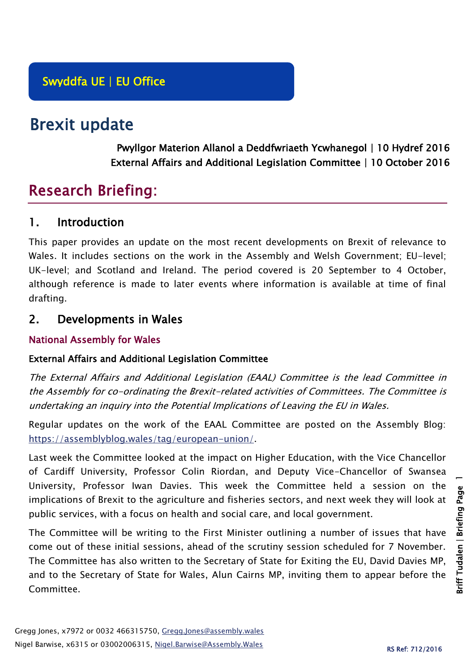# Brexit update

Pwyllgor Materion Allanol a Deddfwriaeth Ycwhanegol | 10 Hydref 2016 External Affairs and Additional Legislation Committee | 10 October 2016

# Research Briefing:

## 1. Introduction

This paper provides an update on the most recent developments on Brexit of relevance to Wales. It includes sections on the work in the Assembly and Welsh Government; EU-level; UK-level; and Scotland and Ireland. The period covered is 20 September to 4 October, although reference is made to later events where information is available at time of final drafting.

# 2. Developments in Wales

## National Assembly for Wales

## External Affairs and Additional Legislation Committee

The External Affairs and Additional Legislation (EAAL) Committee is the lead Committee in the Assembly for co-ordinating the Brexit-related activities of Committees. The Committee is undertaking an inquiry into the Potential Implications of Leaving the EU in Wales.

Regular updates on the work of the EAAL Committee are posted on the Assembly Blog: [https://assemblyblog.wales/tag/european-union/.](https://assemblyblog.wales/tag/european-union/)

Last week the Committee looked at the impact on Higher Education, with the Vice Chancellor of Cardiff University, Professor Colin Riordan, and Deputy Vice-Chancellor of Swansea University, Professor Iwan Davies. This week the Committee held a session on the implications of Brexit to the agriculture and fisheries sectors, and next week they will look at public services, with a focus on health and social care, and local government.

The Committee will be writing to the First Minister outlining a number of issues that have come out of these initial sessions, ahead of the scrutiny session scheduled for 7 November. The Committee has also written to the Secretary of State for Exiting the EU, David Davies MP, and to the Secretary of State for Wales, Alun Cairns MP, inviting them to appear before the Committee.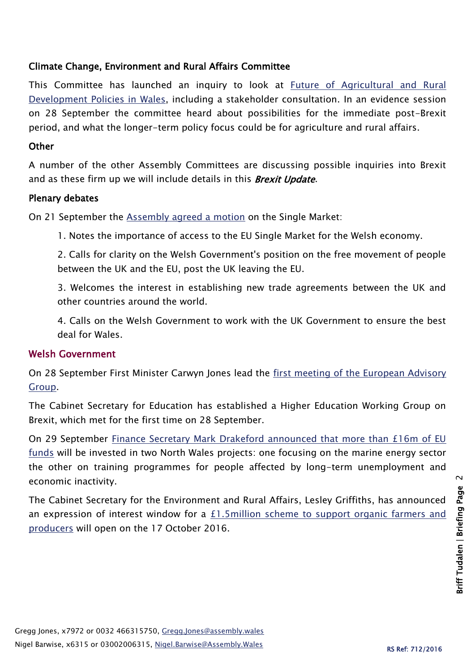## Climate Change, Environment and Rural Affairs Committee

This Committee has launched an inquiry to look at [Future of Agricultural and Rural](http://www.senedd.assembly.wales/mgIssueHistoryHome.aspx?IId=15876)  [Development Policies in Wales,](http://www.senedd.assembly.wales/mgIssueHistoryHome.aspx?IId=15876) including a stakeholder consultation. In an evidence session on 28 September the committee heard about possibilities for the immediate post-Brexit period, and what the longer-term policy focus could be for agriculture and rural affairs.

#### **Other**

A number of the other Assembly Committees are discussing possible inquiries into Brexit and as these firm up we will include details in this **Brexit Update.** 

#### Plenary debates

On 21 September the [Assembly agreed a](http://www.assembly.wales/en/bus-home/pages/rop.aspx?meetingid=3991&assembly=5&c=Record%20of%20Proceedings#424888) motion on the Single Market:

1. Notes the importance of access to the EU Single Market for the Welsh economy.

2. Calls for clarity on the Welsh Government's position on the free movement of people between the UK and the EU, post the UK leaving the EU.

3. Welcomes the interest in establishing new trade agreements between the UK and other countries around the world.

4. Calls on the Welsh Government to work with the UK Government to ensure the best deal for Wales.

#### Welsh Government

On 28 September First Minister Carwyn Jones lead the [first meeting of the European Advisory](http://gov.wales/about/cabinet/cabinetstatements/2016-new/euadvisory/?lang=en)  [Group.](http://gov.wales/about/cabinet/cabinetstatements/2016-new/euadvisory/?lang=en)

The Cabinet Secretary for Education has established a Higher Education Working Group on Brexit, which met for the first time on 28 September.

On 29 September Finance Secretary Mark Drakeford announced that more than £16m of EU [funds](http://gov.wales/newsroom/finance1/2016/58618309/?lang=en) will be invested in two North Wales projects: one focusing on the marine energy sector the other on training programmes for people affected by long-term unemployment and economic inactivity.

The Cabinet Secretary for the Environment and Rural Affairs, Lesley Griffiths, has announced an expression of interest window for a  $E1.5$ million scheme to support organic farmers and [producers](http://gov.wales/newsroom/environmentandcountryside/2016/160928-1.5m-glastir-organic-scheme-to-open/?lang=en) will open on the 17 October 2016.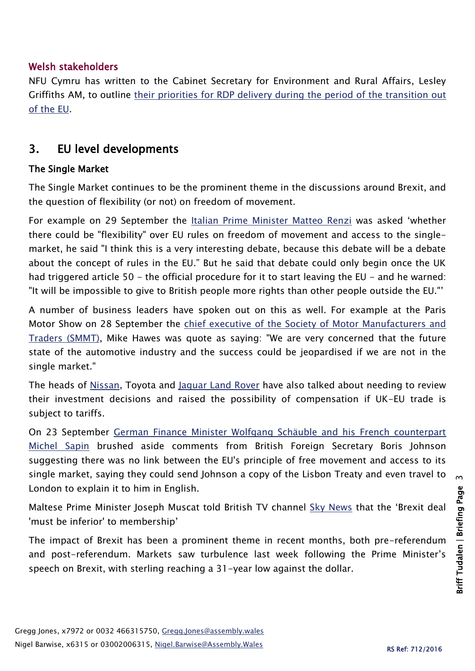## Welsh stakeholders

NFU Cymru has written to the Cabinet Secretary for Environment and Rural Affairs, Lesley Griffiths AM, to outline [their priorities for RDP delivery during](https://www.nfu-cymru.org.uk/news/latest-news/wales-rdp-must-deliver-for-rural-wales/) the period of the transition out [of the EU.](https://www.nfu-cymru.org.uk/news/latest-news/wales-rdp-must-deliver-for-rural-wales/)

# 3. EU level developments

## The Single Market

The Single Market continues to be the prominent theme in the discussions around Brexit, and the question of flexibility (or not) on freedom of movement.

For example on 29 September the [Italian Prime Minister Matteo Renzi](http://www.bbc.co.uk/news/uk-politics-37502578?ocid=socialflow_twitter&ns_mchannel=social&ns_campaign=bbcnews&ns_source=twitter) was asked 'whether there could be "flexibility" over EU rules on freedom of movement and access to the singlemarket, he said "I think this is a very interesting debate, because this debate will be a debate about the concept of rules in the EU." But he said that debate could only begin once the UK had triggered article 50 – the official procedure for it to start leaving the EU – and he warned: "It will be impossible to give to British people more rights than other people outside the EU."'

A number of business leaders have spoken out on this as well. For example at the Paris Motor Show on 28 September the [chief executive of the Society of Motor Manufacturers and](http://www.bbc.co.uk/news/business-37497359)  [Traders \(SMMT\),](http://www.bbc.co.uk/news/business-37497359) Mike Hawes was quote as saying: "We are very concerned that the future state of the automotive industry and the success could be jeopardised if we are not in the single market."

The heads of [Nissan,](http://uk.reuters.com/article/uk-autoshow-paris-nissan-britain-idUKKCN11Z1YQ) Toyota and [Jaguar Land Rover](http://uk.reuters.com/article/autoshow-paris-jaguarlandrover-idUKU8N19L05I?type=companyNews) have also talked about needing to review their investment decisions and raised the possibility of compensation if UK-EU trade is subject to tariffs.

On 23 September [German Finance Minister Wolfgang Schäuble and his French counterpart](http://www.reuters.com/article/us-eu-britain-germany-france-idUSKCN11T1WY)  [Michel Sapin](http://www.reuters.com/article/us-eu-britain-germany-france-idUSKCN11T1WY) brushed aside comments from British Foreign Secretary Boris Johnson suggesting there was no link between the EU's principle of free movement and access to its single market, saying they could send Johnson a copy of the Lisbon Treaty and even travel to London to explain it to him in English.

Maltese Prime Minister Joseph Muscat told British TV channel [Sky News](http://news.sky.com/story/brexit-deal-must-be-inferior-to-membership-eu-leader-warns-10586796) that the 'Brexit deal 'must be inferior' to membership'

The impact of Brexit has been a prominent theme in recent months, both pre-referendum and post-referendum. Markets saw turbulence last week following the Prime Minister's speech on Brexit, with sterling reaching a 31-year low against the dollar.

 $\mathsf{m}$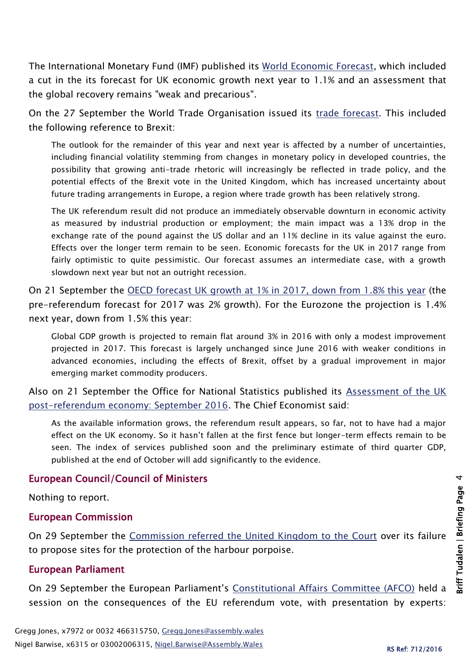The International Monetary Fund (IMF) published its [World Economic Forecast,](http://www.imf.org/en/News/Articles/2016/10/03/AM2016-NA100416-WEO) which included a cut in the its forecast for UK economic growth next year to 1.1% and an assessment that the global recovery remains "weak and precarious".

On the 27 September the World Trade Organisation issued its [trade forecast.](https://www.wto.org/english/news_e/pres16_e/pr779_e.htm) This included the following reference to Brexit:

The outlook for the remainder of this year and next year is affected by a number of uncertainties, including financial volatility stemming from changes in monetary policy in developed countries, the possibility that growing anti-trade rhetoric will increasingly be reflected in trade policy, and the potential effects of the Brexit vote in the United Kingdom, which has increased uncertainty about future trading arrangements in Europe, a region where trade growth has been relatively strong.

The UK referendum result did not produce an immediately observable downturn in economic activity as measured by industrial production or employment; the main impact was a 13% drop in the exchange rate of the pound against the US dollar and an 11% decline in its value against the euro. Effects over the longer term remain to be seen. Economic forecasts for the UK in 2017 range from fairly optimistic to quite pessimistic. Our forecast assumes an intermediate case, with a growth slowdown next year but not an outright recession.

On 21 September the [OECD forecast UK growth at 1% in 2017, down from 1.8% this year](http://www.oecd.org/eco/outlook/OECD-Interim-Economic-Outlook-September-2016-handout.pdf) (the pre-referendum forecast for 2017 was 2% growth). For the Eurozone the projection is 1.4% next year, down from 1.5% this year:

Global GDP growth is projected to remain flat around 3% in 2016 with only a modest improvement projected in 2017. This forecast is largely unchanged since June 2016 with weaker conditions in advanced economies, including the effects of Brexit, offset by a gradual improvement in major emerging market commodity producers.

Also on 21 September the Office for National Statistics published its [Assessment of the UK](https://www.ons.gov.uk/economy/nationalaccounts/uksectoraccounts/articles/assessmentoftheukpostreferendumeconomy/september2016)  [post-referendum economy: September 2016.](https://www.ons.gov.uk/economy/nationalaccounts/uksectoraccounts/articles/assessmentoftheukpostreferendumeconomy/september2016) The Chief Economist said:

As the available information grows, the referendum result appears, so far, not to have had a major effect on the UK economy. So it hasn't fallen at the first fence but longer-term effects remain to be seen. The index of services published soon and the preliminary estimate of third quarter GDP, published at the end of October will add significantly to the evidence.

#### European Council/Council of Ministers

Nothing to report.

#### European Commission

On 29 September the [Commission referred the United Kingdom to the Court](http://europa.eu/rapid/press-release_IP-16-3128_en.htm) over its failure to propose sites for the protection of the harbour porpoise.

#### European Parliament

On 29 September the European Parliament's [Constitutional Affairs Committee \(AFCO\)](http://www.europarl.europa.eu/sides/getDoc.do?pubRef=-%2f%2fEP%2f%2fTEXT%2bCOMPARL%2bAFCO-OJ-20160929-1%2b01%2bDOC%2bXML%2bV0%2f%2fEN&language=EN) held a session on the consequences of the EU referendum vote, with presentation by experts: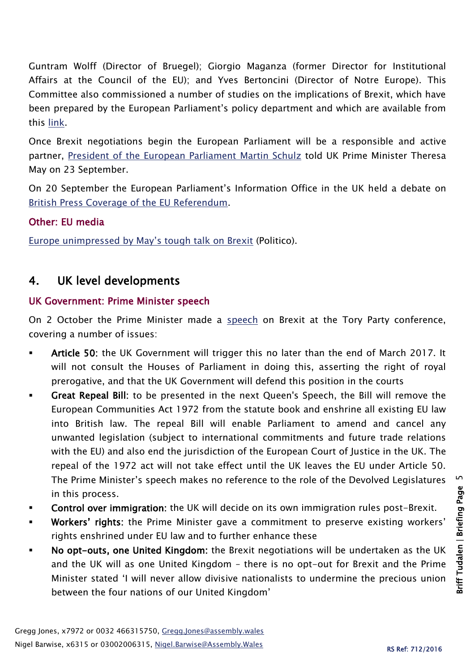Guntram Wolff (Director of Bruegel); Giorgio Maganza (former Director for Institutional Affairs at the Council of the EU); and Yves Bertoncini (Director of Notre Europe). This Committee also commissioned a number of studies on the implications of Brexit, which have been prepared by the European Parliament's policy department and which are available from this [link.](http://www.europarl.europa.eu/committees/en/afco/home.html)

Once Brexit negotiations begin the European Parliament will be a responsible and active partner, [President of the European Parliament Martin Schulz](http://www.europarl.europa.eu/news/en/news-room/20160916STO43196/schulz-discusses-challenges-of-eu-uk-negotiations-with-theresa-may) told UK Prime Minister Theresa May on 23 September.

On 20 September the European Parliament's Information Office in the UK held a debate on [British Press Coverage of the](http://www.europarl.org.uk/en/uk-events/forthcomingevents/presscoverageref.html) EU Referendum.

## Other: EU media

[Europe unimpressed by May's tough talk on Brexit](http://www.politico.eu/article/europe-unimpressed-by-may-tough-talk-on-brexit-hard-europe-negotiation/) (Politico).

# 4. UK level developments

## UK Government: Prime Minister speech

On 2 October the Prime Minister made a [speech](http://www.bbc.co.uk/news/uk-politics-37535527) on Brexit at the Tory Party conference, covering a number of issues:

- Article 50: the UK Government will trigger this no later than the end of March 2017. It will not consult the Houses of Parliament in doing this, asserting the right of royal prerogative, and that the UK Government will defend this position in the courts
- Great Repeal Bill: to be presented in the next Queen's Speech, the Bill will remove the European Communities Act 1972 from the statute book and enshrine all existing EU law into British law. The repeal Bill will enable Parliament to amend and cancel any unwanted legislation (subject to international commitments and future trade relations with the EU) and also end the jurisdiction of the European Court of Justice in the UK. The repeal of the 1972 act will not take effect until the UK leaves the EU under Article 50. The Prime Minister's speech makes no reference to the role of the Devolved Legislatures in this process.
- Control over immigration: the UK will decide on its own immigration rules post-Brexit.
- Workers' rights: the Prime Minister gave a commitment to preserve existing workers' rights enshrined under EU law and to further enhance these
- No opt-outs, one United Kingdom: the Brexit negotiations will be undertaken as the UK and the UK will as one United Kingdom – there is no opt-out for Brexit and the Prime Minister stated 'I will never allow divisive nationalists to undermine the precious union between the four nations of our United Kingdom'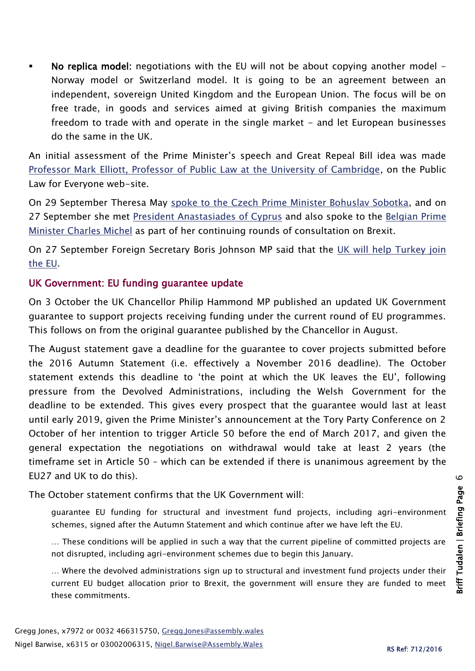No replica model: negotiations with the EU will not be about copying another model - Norway model or Switzerland model. It is going to be an agreement between an independent, sovereign United Kingdom and the European Union. The focus will be on free trade, in goods and services aimed at giving British companies the maximum freedom to trade with and operate in the single market - and let European businesses do the same in the UK.

An initial assessment of the Prime Minister's speech and Great Repeal Bill idea was made [Professor Mark Elliott, Professor of Public Law at the University of Cambridge,](https://publiclawforeveryone.com/2016/10/02/theresa-mays-great-repeal-bill-some-preliminary-thoughts/) on the Public Law for Everyone web-site.

On 29 September Theresa May [spoke to the Czech Prime Minister Bohuslav Sobotka,](https://www.gov.uk/government/news/pm-call-with-czech-prime-minister-29-september-2016) and on 27 September she met [President Anastasiades of Cyprus](https://www.gov.uk/government/news/pm-meeting-with-president-anastasiades-of-cyprus-27-september-2016) and also spoke to the [Belgian Prime](https://www.gov.uk/government/news/pm-phone-call-with-belgian-pm-charles-michel-27-september-2016)  [Minister Charles Michel](https://www.gov.uk/government/news/pm-phone-call-with-belgian-pm-charles-michel-27-september-2016) as part of her continuing rounds of consultation on Brexit.

On 27 September Foreign Secretary Boris Johnson MP said that the [UK will help Turkey join](http://www.politico.eu/article/boris-johnson-uk-will-help-turkey-join-the-eu/)  [the EU.](http://www.politico.eu/article/boris-johnson-uk-will-help-turkey-join-the-eu/)

#### UK Government: EU funding guarantee update

On 3 October the UK Chancellor Philip Hammond MP published an updated UK Government guarantee to support projects receiving funding under the current round of EU programmes. This follows on from the original guarantee published by the Chancellor in August.

The August statement gave a deadline for the guarantee to cover projects submitted before the 2016 Autumn Statement (i.e. effectively a November 2016 deadline). The October statement extends this deadline to 'the point at which the UK leaves the EU', following pressure from the Devolved Administrations, including the Welsh Government for the deadline to be extended. This gives every prospect that the guarantee would last at least until early 2019, given the Prime Minister's announcement at the Tory Party Conference on 2 October of her intention to trigger Article 50 before the end of March 2017, and given the general expectation the negotiations on withdrawal would take at least 2 years (the timeframe set in Article 50 – which can be extended if there is unanimous agreement by the EU27 and UK to do this).

The October statement confirms that the UK Government will:

guarantee EU funding for structural and investment fund projects, including agri-environment schemes, signed after the Autumn Statement and which continue after we have left the EU.

… These conditions will be applied in such a way that the current pipeline of committed projects are not disrupted, including agri-environment schemes due to begin this January.

… Where the devolved administrations sign up to structural and investment fund projects under their current EU budget allocation prior to Brexit, the government will ensure they are funded to meet these commitments.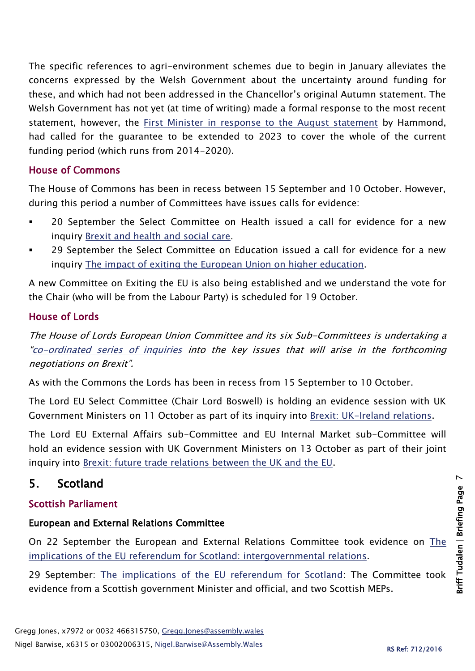The specific references to agri-environment schemes due to begin in January alleviates the concerns expressed by the Welsh Government about the uncertainty around funding for these, and which had not been addressed in the Chancellor's original Autumn statement. The Welsh Government has not yet (at time of writing) made a formal response to the most recent statement, however, the [First Minister in response to the August statement](http://gov.wales/newsroom/firstminister/2016/160813eu/?lang=en) by Hammond, had called for the guarantee to be extended to 2023 to cover the whole of the current funding period (which runs from 2014-2020).

#### House of Commons

The House of Commons has been in recess between 15 September and 10 October. However, during this period a number of Committees have issues calls for evidence:

- 20 September the Select Committee on Health issued a call for evidence for a new inquiry [Brexit and health and social care.](http://www.parliament.uk/business/committees/committees-a-z/commons-select/health-committee/inquiries/parliament-2015/brexit-and-health-and-social-care-16-17/)
- 29 September the Select Committee on Education issued a call for evidence for a new inquiry [The impact of exiting the European Union on higher education.](http://www.parliament.uk/business/committees/committees-a-z/commons-select/education-committee/news-parliament-2015/brexi-impact-higher-education-launch-16-17/)

A new Committee on Exiting the EU is also being established and we understand the vote for the Chair (who will be from the Labour Party) is scheduled for 19 October.

## House of Lords

The House of Lords European Union Committee and its six Sub-Committees is undertaking a "[co-ordinated series of inquiries](http://www.parliament.uk/business/committees/committees-a-z/lords-select/eu-select-committee-/news-parliament-2015/co-ordinated-inquries-launch/) into the key issues that will arise in the forthcoming negotiations on Brexit".

As with the Commons the Lords has been in recess from 15 September to 10 October.

The Lord EU Select Committee (Chair Lord Boswell) is holding an evidence session with UK Government Ministers on 11 October as part of its inquiry into [Brexit: UK-Ireland relations.](http://www.parliament.uk/business/committees/committees-a-z/lords-select/eu-select-committee-/news-parliament-2015/uk-irish-relations-inquiry-launch/)

The Lord EU External Affairs sub-Committee and EU Internal Market sub-Committee will hold an evidence session with UK Government Ministers on 13 October as part of their joint inquiry into [Brexit: future trade relations between the UK and the EU.](http://www.parliament.uk/business/committees/committees-a-z/lords-select/eu-external-affairs-subcommittee/)

# 5. Scotland

## Scottish Parliament

## European and External Relations Committee

On 22 September the European and External Relations Committee took evidence on [The](http://www.parliament.scot/parliamentarybusiness/report.aspx?r=10541&i=96994)  [implications of the EU referendum for Scotland: intergovernmental relations.](http://www.parliament.scot/parliamentarybusiness/report.aspx?r=10541&i=96994)

29 September: [The implications of the EU referendum for Scotland:](http://www.parliament.scot/parliamentarybusiness/report.aspx?r=10551&i=97117) The Committee took evidence from a Scottish government Minister and official, and two Scottish MEPs.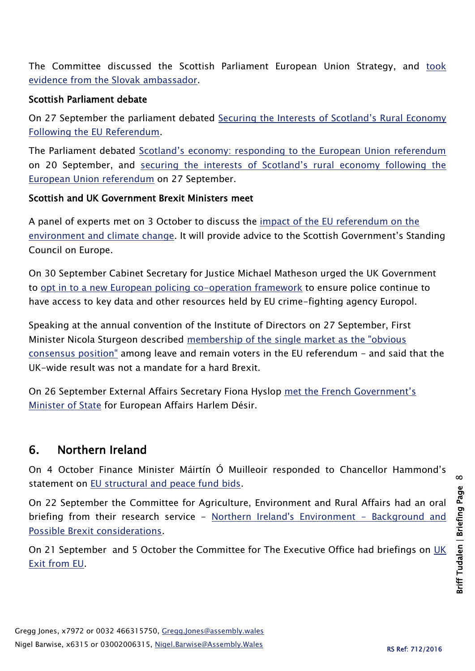The Committee discussed the Scottish Parliament European Union Strategy, and [took](http://www.parliament.scot/parliamentarybusiness/report.aspx?r=10551&i=97119)  [evidence from the Slovak ambassador.](http://www.parliament.scot/parliamentarybusiness/report.aspx?r=10551&i=97119)

#### Scottish Parliament debate

On 27 September the parliament debated [Securing the Interests of Scotland's Rural Economy](http://www.parliament.scot/parliamentarybusiness/report.aspx?r=10542&i=97018)  [Following the EU Referendum.](http://www.parliament.scot/parliamentarybusiness/report.aspx?r=10542&i=97018)

The Parliament debated [Scotland's economy: responding to the European Union referendum](http://www.parliament.scot/parliamentarybusiness/report.aspx?r=10528&i=96909) on 20 September, and [securing the interests of Scotland's rural economy following the](http://www.parliament.scot/parliamentarybusiness/report.aspx?r=10542&i=97018)  [European Union referendum](http://www.parliament.scot/parliamentarybusiness/report.aspx?r=10542&i=97018) on 27 September.

#### Scottish and UK Government Brexit Ministers meet

A panel of experts met on 3 October to discuss the [impact of the EU referendum on the](http://news.scotland.gov.uk/News/Europe-and-the-environment-2c58.aspx)  [environment and climate change.](http://news.scotland.gov.uk/News/Europe-and-the-environment-2c58.aspx) It will provide advice to the Scottish Government's Standing Council on Europe.

On 30 September Cabinet Secretary for Justice Michael Matheson urged the UK Government to [opt in to a new European policing co-operation framework](http://news.scotland.gov.uk/News/European-collaboration-on-policing-2bff.aspx) to ensure police continue to have access to key data and other resources held by EU crime-fighting agency Europol.

Speaking at the annual convention of the Institute of Directors on 27 September, First Minister Nicola Sturgeon described [membership of the single market](http://news.scotland.gov.uk/News/FM-highlights-importance-of-membership-of-single-market-2bcc.aspx) as the "obvious [consensus position"](http://news.scotland.gov.uk/News/FM-highlights-importance-of-membership-of-single-market-2bcc.aspx) among leave and remain voters in the EU referendum - and said that the UK-wide result was not a mandate for a hard Brexit.

On 26 September External Affairs Secretary Fiona Hyslop [met the French Government's](http://news.scotland.gov.uk/News/EU-discussion-with-French-Government-2bc1.aspx)  [Minister of State](http://news.scotland.gov.uk/News/EU-discussion-with-French-Government-2bc1.aspx) for European Affairs Harlem Désir.

# 6. Northern Ireland

On 4 October Finance Minister Máirtín Ó Muilleoir responded to Chancellor Hammond's statement on [EU structural and peace fund bids.](https://www.finance-ni.gov.uk/news/o-muilleoir-responds-chancellor-hammonds-statement)

On 22 September the Committee for Agriculture, Environment and Rural Affairs had an oral briefing from their research service - [Northern Ireland's Environment -](http://aims.niassembly.gov.uk/committees/meetingiob.aspx?&cid=3&caid=19099&md=22/09/2016%2000:00:00&mid=10764&iobid=272479&eveid=10764&bd=0) Background and [Possible Brexit considerations.](http://aims.niassembly.gov.uk/committees/meetingiob.aspx?&cid=3&caid=19099&md=22/09/2016%2000:00:00&mid=10764&iobid=272479&eveid=10764&bd=0)

On 21 September and 5 October the Committee for The Executive Office had briefings on UK [Exit from EU.](http://aims.niassembly.gov.uk/committees/meetingiob.aspx?&cid=15&caid=19072&md=21/09/2016%2000:00:00&mid=10797&iobid=272288&eveid=10797&bd=0)